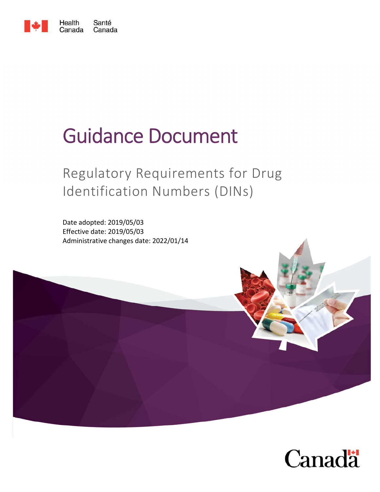

# Guidance Document

## Regulatory Requirements for Drug Identification Numbers (DINs)

Date adopted: 2019/05/03 Effective date: 2019/05/03 Administrative changes date: 2022/01/14



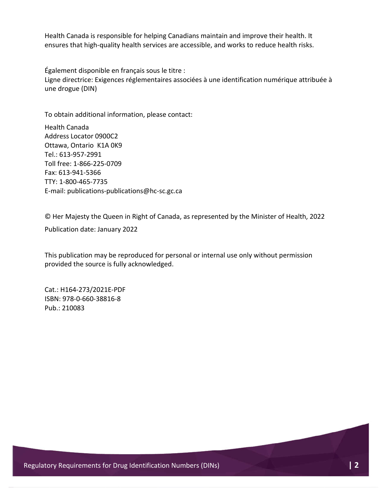Health Canada is responsible for helping Canadians maintain and improve their health. It ensures that high-quality health services are accessible, and works to reduce health risks.

Également disponible en français sous le titre : Ligne directrice: Exigences réglementaires associées à une identification numérique attribuée à une drogue (DIN)

To obtain additional information, please contact:

Health Canada Address Locator 0900C2 Ottawa, Ontario K1A 0K9 Tel.: 613-957-2991 Toll free: 1-866-225-0709 Fax: 613-941-5366 TTY: 1-800-465-7735 E-mail: publications-publications@hc-sc.gc.ca

© Her Majesty the Queen in Right of Canada, as represented by the Minister of Health, 2022

Publication date: January 2022

This publication may be reproduced for personal or internal use only without permission provided the source is fully acknowledged.

Cat.: H164-273/2021E-PDF ISBN: 978-0-660-38816-8 Pub.: 210083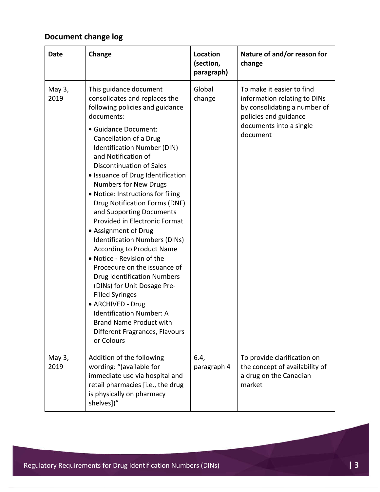## **Document change log**

| Date           | Change                                                                                                                                                                                                                                                                                                                                                                                                                                                                                                                                                                                                                                                                                                                                                                                                                                                   | Location<br>(section,<br>paragraph) | Nature of and/or reason for<br>change                                                                                                                     |
|----------------|----------------------------------------------------------------------------------------------------------------------------------------------------------------------------------------------------------------------------------------------------------------------------------------------------------------------------------------------------------------------------------------------------------------------------------------------------------------------------------------------------------------------------------------------------------------------------------------------------------------------------------------------------------------------------------------------------------------------------------------------------------------------------------------------------------------------------------------------------------|-------------------------------------|-----------------------------------------------------------------------------------------------------------------------------------------------------------|
| May 3,<br>2019 | This guidance document<br>consolidates and replaces the<br>following policies and guidance<br>documents:<br>· Guidance Document:<br>Cancellation of a Drug<br>Identification Number (DIN)<br>and Notification of<br><b>Discontinuation of Sales</b><br>• Issuance of Drug Identification<br><b>Numbers for New Drugs</b><br>. Notice: Instructions for filing<br>Drug Notification Forms (DNF)<br>and Supporting Documents<br>Provided in Electronic Format<br>• Assignment of Drug<br>Identification Numbers (DINs)<br><b>According to Product Name</b><br>• Notice - Revision of the<br>Procedure on the issuance of<br><b>Drug Identification Numbers</b><br>(DINs) for Unit Dosage Pre-<br><b>Filled Syringes</b><br>• ARCHIVED - Drug<br><b>Identification Number: A</b><br>Brand Name Product with<br>Different Fragrances, Flavours<br>or Colours | Global<br>change                    | To make it easier to find<br>information relating to DINs<br>by consolidating a number of<br>policies and guidance<br>documents into a single<br>document |
| May 3,<br>2019 | Addition of the following<br>wording: "(available for<br>immediate use via hospital and<br>retail pharmacies [i.e., the drug<br>is physically on pharmacy<br>shelves])"                                                                                                                                                                                                                                                                                                                                                                                                                                                                                                                                                                                                                                                                                  | 6.4,<br>paragraph 4                 | To provide clarification on<br>the concept of availability of<br>a drug on the Canadian<br>market                                                         |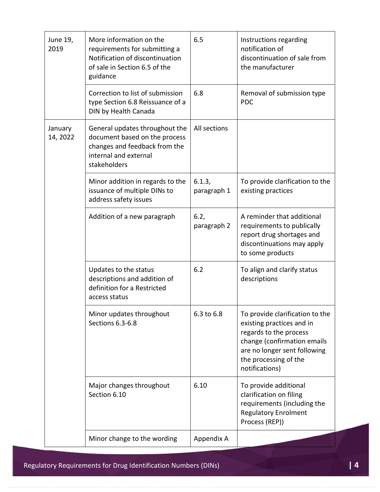| June 19,<br>2019    | More information on the<br>requirements for submitting a<br>Notification of discontinuation<br>of sale in Section 6.5 of the<br>guidance  | 6.5                   | Instructions regarding<br>notification of<br>discontinuation of sale from<br>the manufacturer                                                                                                    |
|---------------------|-------------------------------------------------------------------------------------------------------------------------------------------|-----------------------|--------------------------------------------------------------------------------------------------------------------------------------------------------------------------------------------------|
|                     | Correction to list of submission<br>type Section 6.8 Reissuance of a<br>DIN by Health Canada                                              | 6.8                   | Removal of submission type<br><b>PDC</b>                                                                                                                                                         |
| January<br>14, 2022 | General updates throughout the<br>document based on the process<br>changes and feedback from the<br>internal and external<br>stakeholders | All sections          |                                                                                                                                                                                                  |
|                     | Minor addition in regards to the<br>issuance of multiple DINs to<br>address safety issues                                                 | 6.1.3,<br>paragraph 1 | To provide clarification to the<br>existing practices                                                                                                                                            |
|                     | Addition of a new paragraph                                                                                                               | 6.2,<br>paragraph 2   | A reminder that additional<br>requirements to publically<br>report drug shortages and<br>discontinuations may apply<br>to some products                                                          |
|                     | Updates to the status<br>descriptions and addition of<br>definition for a Restricted<br>access status                                     | 6.2                   | To align and clarify status<br>descriptions                                                                                                                                                      |
|                     | Minor updates throughout<br>Sections 6.3-6.8                                                                                              | 6.3 to 6.8            | To provide clarification to the<br>existing practices and in<br>regards to the process<br>change (confirmation emails<br>are no longer sent following<br>the processing of the<br>notifications) |
|                     | Major changes throughout<br>Section 6.10                                                                                                  | 6.10                  | To provide additional<br>clarification on filing<br>requirements (including the<br><b>Regulatory Enrolment</b><br>Process (REP))                                                                 |
|                     | Minor change to the wording                                                                                                               | Appendix A            |                                                                                                                                                                                                  |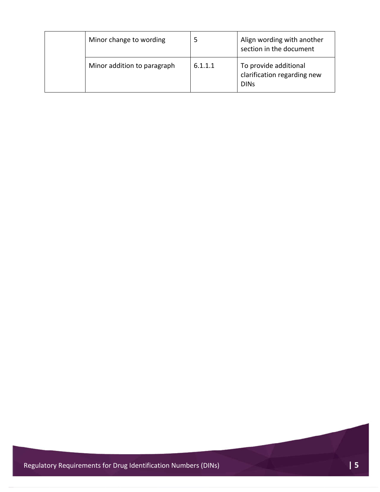| Minor change to wording     |         | Align wording with another<br>section in the document               |
|-----------------------------|---------|---------------------------------------------------------------------|
| Minor addition to paragraph | 6.1.1.1 | To provide additional<br>clarification regarding new<br><b>DINS</b> |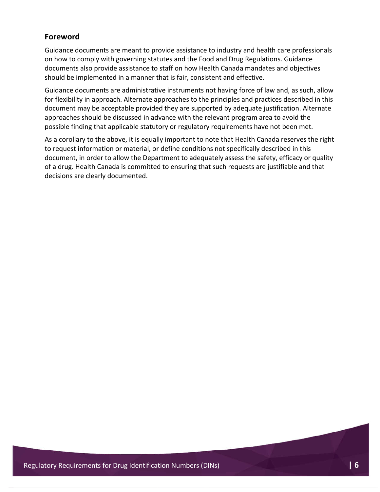#### **Foreword**

Guidance documents are meant to provide assistance to industry and health care professionals on how to comply with governing statutes and the Food and Drug Regulations. Guidance documents also provide assistance to staff on how Health Canada mandates and objectives should be implemented in a manner that is fair, consistent and effective.

Guidance documents are administrative instruments not having force of law and, as such, allow for flexibility in approach. Alternate approaches to the principles and practices described in this document may be acceptable provided they are supported by adequate justification. Alternate approaches should be discussed in advance with the relevant program area to avoid the possible finding that applicable statutory or regulatory requirements have not been met.

As a corollary to the above, it is equally important to note that Health Canada reserves the right to request information or material, or define conditions not specifically described in this document, in order to allow the Department to adequately assess the safety, efficacy or quality of a drug. Health Canada is committed to ensuring that such requests are justifiable and that decisions are clearly documented.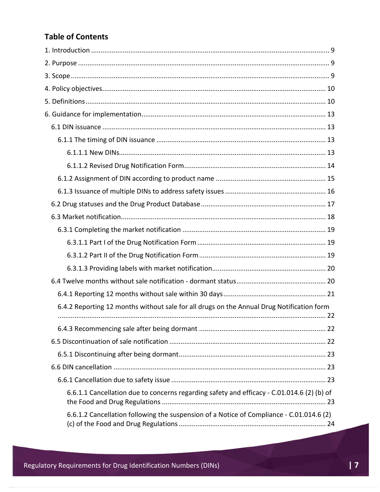### **Table of Contents**

| 6.4.2 Reporting 12 months without sale for all drugs on the Annual Drug Notification form  |
|--------------------------------------------------------------------------------------------|
|                                                                                            |
|                                                                                            |
|                                                                                            |
|                                                                                            |
|                                                                                            |
| 6.6.1.1 Cancellation due to concerns regarding safety and efficacy - C.01.014.6 (2) (b) of |
| 6.6.1.2 Cancellation following the suspension of a Notice of Compliance - C.01.014.6 (2)   |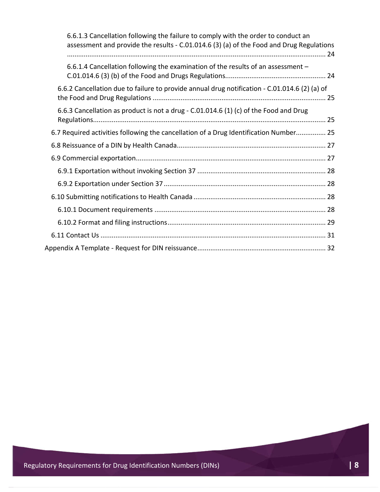| 6.6.1.3 Cancellation following the failure to comply with the order to conduct an<br>assessment and provide the results - C.01.014.6 (3) (a) of the Food and Drug Regulations |  |
|-------------------------------------------------------------------------------------------------------------------------------------------------------------------------------|--|
| 6.6.1.4 Cancellation following the examination of the results of an assessment -                                                                                              |  |
| 6.6.2 Cancellation due to failure to provide annual drug notification - C.01.014.6 (2) (a) of                                                                                 |  |
| 6.6.3 Cancellation as product is not a drug - C.01.014.6 (1) (c) of the Food and Drug                                                                                         |  |
| 6.7 Required activities following the cancellation of a Drug Identification Number 25                                                                                         |  |
|                                                                                                                                                                               |  |
|                                                                                                                                                                               |  |
|                                                                                                                                                                               |  |
|                                                                                                                                                                               |  |
|                                                                                                                                                                               |  |
|                                                                                                                                                                               |  |
|                                                                                                                                                                               |  |
|                                                                                                                                                                               |  |
|                                                                                                                                                                               |  |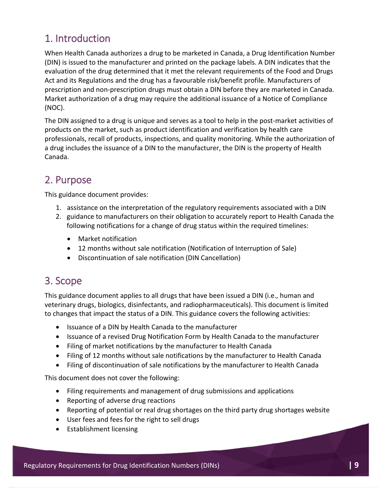## 1. Introduction

When Health Canada authorizes a drug to be marketed in Canada, a Drug Identification Number (DIN) is issued to the manufacturer and printed on the package labels. A DIN indicates that the evaluation of the drug determined that it met the relevant requirements of the Food and Drugs Act and its Regulations and the drug has a favourable risk/benefit profile. Manufacturers of prescription and non-prescription drugs must obtain a DIN before they are marketed in Canada. Market authorization of a drug may require the additional issuance of a Notice of Compliance (NOC).

The DIN assigned to a drug is unique and serves as a tool to help in the post-market activities of products on the market, such as product identification and verification by health care professionals, recall of products, inspections, and quality monitoring. While the authorization of a drug includes the issuance of a DIN to the manufacturer, the DIN is the property of Health Canada.

## 2. Purpose

This guidance document provides:

- 1. assistance on the interpretation of the regulatory requirements associated with a DIN
- 2. guidance to manufacturers on their obligation to accurately report to Health Canada the following notifications for a change of drug status within the required timelines:
	- Market notification
	- 12 months without sale notification (Notification of Interruption of Sale)
	- Discontinuation of sale notification (DIN Cancellation)

## 3. Scope

This guidance document applies to all drugs that have been issued a DIN (i.e., human and veterinary drugs, biologics, disinfectants, and radiopharmaceuticals). This document is limited to changes that impact the status of a DIN. This guidance covers the following activities:

- Issuance of a DIN by Health Canada to the manufacturer
- Issuance of a revised Drug Notification Form by Health Canada to the manufacturer
- Filing of market notifications by the manufacturer to Health Canada
- Filing of 12 months without sale notifications by the manufacturer to Health Canada
- Filing of discontinuation of sale notifications by the manufacturer to Health Canada

This document does not cover the following:

- Filing requirements and management of drug submissions and applications
- Reporting of adverse drug reactions
- Reporting of potential or real drug shortages on the third party drug shortages website
- User fees and fees for the right to sell drugs
- Establishment licensing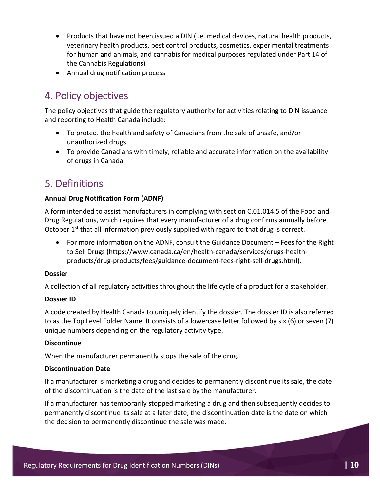- Products that have not been issued a DIN (i.e. medical devices, natural health products, veterinary health products, pest control products, cosmetics, experimental treatments for human and animals, and cannabis for medical purposes regulated under Part 14 of the Cannabis Regulations)
- Annual drug notification process

## 4. Policy objectives

The policy objectives that guide the regulatory authority for activities relating to DIN issuance and reporting to Health Canada include:

- To protect the health and safety of Canadians from the sale of unsafe, and/or unauthorized drugs
- To provide Canadians with timely, reliable and accurate information on the availability of drugs in Canada

## 5. Definitions

#### **Annual Drug Notification Form (ADNF)**

A form intended to assist manufacturers in complying with section C.01.014.5 of the Food and Drug Regulations, which requires that every manufacturer of a drug confirms annually before October  $1<sup>st</sup>$  that all information previously supplied with regard to that drug is correct.

 For more information on the ADNF, consult the Guidance Document – Fees for the Right to Sell Drugs (https://www.canada.ca/en/health-canada/services/drugs-healthproducts/drug-products/fees/guidance-document-fees-right-sell-drugs.html).

#### **Dossier**

A collection of all regulatory activities throughout the life cycle of a product for a stakeholder.

#### **Dossier ID**

A code created by Health Canada to uniquely identify the dossier. The dossier ID is also referred to as the Top Level Folder Name. It consists of a lowercase letter followed by six (6) or seven (7) unique numbers depending on the regulatory activity type.

#### **Discontinue**

When the manufacturer permanently stops the sale of the drug.

#### **Discontinuation Date**

If a manufacturer is marketing a drug and decides to permanently discontinue its sale, the date of the discontinuation is the date of the last sale by the manufacturer.

If a manufacturer has temporarily stopped marketing a drug and then subsequently decides to permanently discontinue its sale at a later date, the discontinuation date is the date on which the decision to permanently discontinue the sale was made.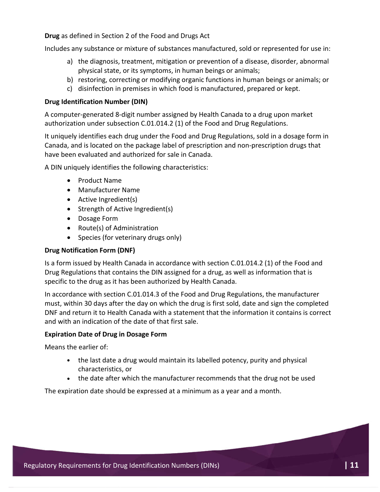**Drug** as defined in Section 2 of the Food and Drugs Act

Includes any substance or mixture of substances manufactured, sold or represented for use in:

- a) the diagnosis, treatment, mitigation or prevention of a disease, disorder, abnormal physical state, or its symptoms, in human beings or animals;
- b) restoring, correcting or modifying organic functions in human beings or animals; or
- c) disinfection in premises in which food is manufactured, prepared or kept.

#### **Drug Identification Number (DIN)**

A computer-generated 8-digit number assigned by Health Canada to a drug upon market authorization under subsection C.01.014.2 (1) of the Food and Drug Regulations.

It uniquely identifies each drug under the Food and Drug Regulations, sold in a dosage form in Canada, and is located on the package label of prescription and non-prescription drugs that have been evaluated and authorized for sale in Canada.

A DIN uniquely identifies the following characteristics:

- Product Name
- Manufacturer Name
- Active Ingredient(s)
- Strength of Active Ingredient(s)
- Dosage Form
- Route(s) of Administration
- Species (for veterinary drugs only)

#### **Drug Notification Form (DNF)**

Is a form issued by Health Canada in accordance with section C.01.014.2 (1) of the Food and Drug Regulations that contains the DIN assigned for a drug, as well as information that is specific to the drug as it has been authorized by Health Canada.

In accordance with section C.01.014.3 of the Food and Drug Regulations, the manufacturer must, within 30 days after the day on which the drug is first sold, date and sign the completed DNF and return it to Health Canada with a statement that the information it contains is correct and with an indication of the date of that first sale.

#### **Expiration Date of Drug in Dosage Form**

Means the earlier of:

- the last date a drug would maintain its labelled potency, purity and physical characteristics, or
- the date after which the manufacturer recommends that the drug not be used

The expiration date should be expressed at a minimum as a year and a month.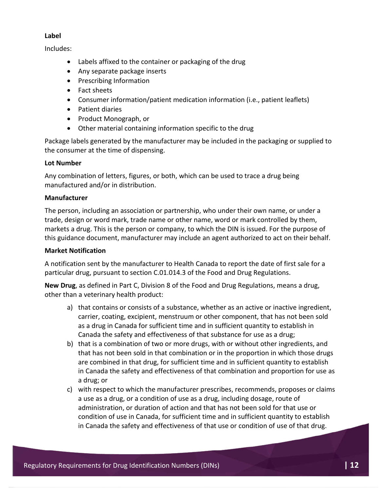#### **Label**

Includes:

- Labels affixed to the container or packaging of the drug
- Any separate package inserts
- Prescribing Information
- Fact sheets
- Consumer information/patient medication information (i.e., patient leaflets)
- Patient diaries
- Product Monograph, or
- Other material containing information specific to the drug

Package labels generated by the manufacturer may be included in the packaging or supplied to the consumer at the time of dispensing.

#### **Lot Number**

Any combination of letters, figures, or both, which can be used to trace a drug being manufactured and/or in distribution.

#### **Manufacturer**

The person, including an association or partnership, who under their own name, or under a trade, design or word mark, trade name or other name, word or mark controlled by them, markets a drug. This is the person or company, to which the DIN is issued. For the purpose of this guidance document, manufacturer may include an agent authorized to act on their behalf.

#### **Market Notification**

A notification sent by the manufacturer to Health Canada to report the date of first sale for a particular drug, pursuant to section C.01.014.3 of the Food and Drug Regulations.

**New Drug**, as defined in Part C, Division 8 of the Food and Drug Regulations, means a drug, other than a veterinary health product:

- a) that contains or consists of a substance, whether as an active or inactive ingredient, carrier, coating, excipient, menstruum or other component, that has not been sold as a drug in Canada for sufficient time and in sufficient quantity to establish in Canada the safety and effectiveness of that substance for use as a drug;
- b) that is a combination of two or more drugs, with or without other ingredients, and that has not been sold in that combination or in the proportion in which those drugs are combined in that drug, for sufficient time and in sufficient quantity to establish in Canada the safety and effectiveness of that combination and proportion for use as a drug; or
- c) with respect to which the manufacturer prescribes, recommends, proposes or claims a use as a drug, or a condition of use as a drug, including dosage, route of administration, or duration of action and that has not been sold for that use or condition of use in Canada, for sufficient time and in sufficient quantity to establish in Canada the safety and effectiveness of that use or condition of use of that drug.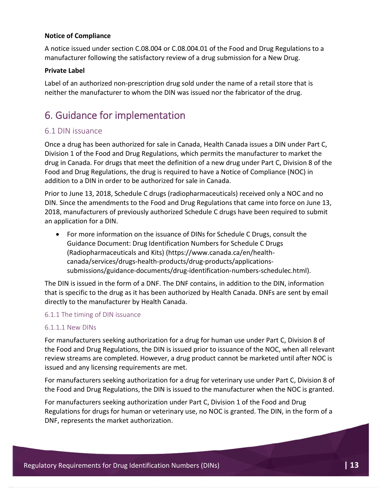#### **Notice of Compliance**

A notice issued under section C.08.004 or C.08.004.01 of the Food and Drug Regulations to a manufacturer following the satisfactory review of a drug submission for a New Drug.

#### **Private Label**

Label of an authorized non-prescription drug sold under the name of a retail store that is neither the manufacturer to whom the DIN was issued nor the fabricator of the drug.

## 6. Guidance for implementation

#### 6.1 DIN issuance

Once a drug has been authorized for sale in Canada, Health Canada issues a DIN under Part C, Division 1 of the Food and Drug Regulations, which permits the manufacturer to market the drug in Canada. For drugs that meet the definition of a new drug under Part C, Division 8 of the Food and Drug Regulations, the drug is required to have a Notice of Compliance (NOC) in addition to a DIN in order to be authorized for sale in Canada.

Prior to June 13, 2018, Schedule C drugs (radiopharmaceuticals) received only a NOC and no DIN. Since the amendments to the Food and Drug Regulations that came into force on June 13, 2018, manufacturers of previously authorized Schedule C drugs have been required to submit an application for a DIN.

 For more information on the issuance of DINs for Schedule C Drugs, consult the Guidance Document: Drug Identification Numbers for Schedule C Drugs (Radiopharmaceuticals and Kits) (https://www.canada.ca/en/healthcanada/services/drugs-health-products/drug-products/applicationssubmissions/guidance-documents/drug-identification-numbers-schedulec.html).

The DIN is issued in the form of a DNF. The DNF contains, in addition to the DIN, information that is specific to the drug as it has been authorized by Health Canada. DNFs are sent by email directly to the manufacturer by Health Canada.

#### 6.1.1 The timing of DIN issuance

#### 6.1.1.1 New DINs

For manufacturers seeking authorization for a drug for human use under Part C, Division 8 of the Food and Drug Regulations, the DIN is issued prior to issuance of the NOC, when all relevant review streams are completed. However, a drug product cannot be marketed until after NOC is issued and any licensing requirements are met.

For manufacturers seeking authorization for a drug for veterinary use under Part C, Division 8 of the Food and Drug Regulations, the DIN is issued to the manufacturer when the NOC is granted.

For manufacturers seeking authorization under Part C, Division 1 of the Food and Drug Regulations for drugs for human or veterinary use, no NOC is granted. The DIN, in the form of a DNF, represents the market authorization.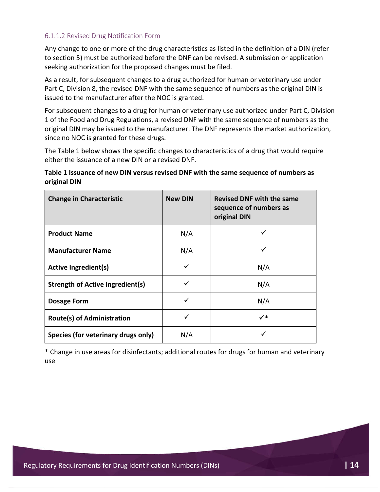#### 6.1.1.2 Revised Drug Notification Form

Any change to one or more of the drug characteristics as listed in the definition of a DIN (refer to section 5) must be authorized before the DNF can be revised. A submission or application seeking authorization for the proposed changes must be filed.

As a result, for subsequent changes to a drug authorized for human or veterinary use under Part C, Division 8, the revised DNF with the same sequence of numbers as the original DIN is issued to the manufacturer after the NOC is granted.

For subsequent changes to a drug for human or veterinary use authorized under Part C, Division 1 of the Food and Drug Regulations, a revised DNF with the same sequence of numbers as the original DIN may be issued to the manufacturer. The DNF represents the market authorization, since no NOC is granted for these drugs.

The Table 1 below shows the specific changes to characteristics of a drug that would require either the issuance of a new DIN or a revised DNF.

#### **Table 1 Issuance of new DIN versus revised DNF with the same sequence of numbers as original DIN**

| <b>Change in Characteristic</b>         | <b>New DIN</b> | <b>Revised DNF with the same</b><br>sequence of numbers as<br>original DIN |
|-----------------------------------------|----------------|----------------------------------------------------------------------------|
| <b>Product Name</b>                     | N/A            |                                                                            |
| <b>Manufacturer Name</b>                | N/A            |                                                                            |
| <b>Active Ingredient(s)</b>             |                | N/A                                                                        |
| <b>Strength of Active Ingredient(s)</b> |                | N/A                                                                        |
| <b>Dosage Form</b>                      | ✓              | N/A                                                                        |
| <b>Route(s) of Administration</b>       | ✓              | $\checkmark^*$                                                             |
| Species (for veterinary drugs only)     | N/A            |                                                                            |

\* Change in use areas for disinfectants; additional routes for drugs for human and veterinary use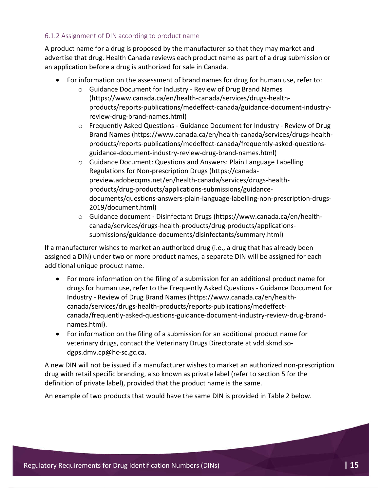#### 6.1.2 Assignment of DIN according to product name

A product name for a drug is proposed by the manufacturer so that they may market and advertise that drug. Health Canada reviews each product name as part of a drug submission or an application before a drug is authorized for sale in Canada.

- For information on the assessment of brand names for drug for human use, refer to:
	- o Guidance Document for Industry Review of Drug Brand Names (https://www.canada.ca/en/health-canada/services/drugs-healthproducts/reports-publications/medeffect-canada/guidance-document-industryreview-drug-brand-names.html)
	- o Frequently Asked Questions Guidance Document for Industry Review of Drug Brand Names (https://www.canada.ca/en/health-canada/services/drugs-healthproducts/reports-publications/medeffect-canada/frequently-asked-questionsguidance-document-industry-review-drug-brand-names.html)
	- o Guidance Document: Questions and Answers: Plain Language Labelling Regulations for Non-prescription Drugs (https://canadapreview.adobecqms.net/en/health-canada/services/drugs-healthproducts/drug-products/applications-submissions/guidancedocuments/questions-answers-plain-language-labelling-non-prescription-drugs-2019/document.html)
	- o Guidance document Disinfectant Drugs (https://www.canada.ca/en/healthcanada/services/drugs-health-products/drug-products/applicationssubmissions/guidance-documents/disinfectants/summary.html)

If a manufacturer wishes to market an authorized drug (i.e., a drug that has already been assigned a DIN) under two or more product names, a separate DIN will be assigned for each additional unique product name.

- For more information on the filing of a submission for an additional product name for drugs for human use, refer to the Frequently Asked Questions - Guidance Document for Industry - Review of Drug Brand Names (https://www.canada.ca/en/healthcanada/services/drugs-health-products/reports-publications/medeffectcanada/frequently-asked-questions-guidance-document-industry-review-drug-brandnames.html).
- For information on the filing of a submission for an additional product name for veterinary drugs, contact the Veterinary Drugs Directorate at vdd.skmd.sodgps.dmv.cp@hc-sc.gc.ca.

A new DIN will not be issued if a manufacturer wishes to market an authorized non-prescription drug with retail specific branding, also known as private label (refer to section 5 for the definition of private label), provided that the product name is the same.

An example of two products that would have the same DIN is provided in Table 2 below.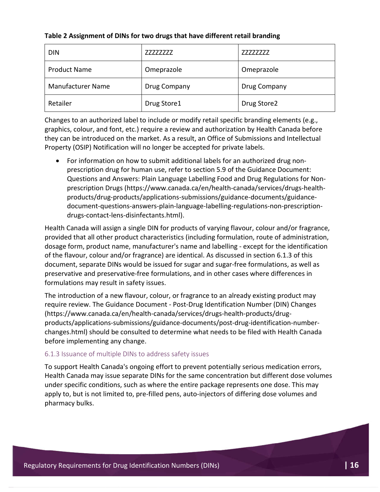| <b>DIN</b>               | 77777777     | 77777777     |
|--------------------------|--------------|--------------|
| <b>Product Name</b>      | Omeprazole   | Omeprazole   |
| <b>Manufacturer Name</b> | Drug Company | Drug Company |
| Retailer                 | Drug Store1  | Drug Store2  |

#### **Table 2 Assignment of DINs for two drugs that have different retail branding**

Changes to an authorized label to include or modify retail specific branding elements (e.g., graphics, colour, and font, etc.) require a review and authorization by Health Canada before they can be introduced on the market. As a result, an Office of Submissions and Intellectual Property (OSIP) Notification will no longer be accepted for private labels.

 For information on how to submit additional labels for an authorized drug nonprescription drug for human use, refer to section 5.9 of the Guidance Document: Questions and Answers: Plain Language Labelling Food and Drug Regulations for Nonprescription Drugs (https://www.canada.ca/en/health-canada/services/drugs-healthproducts/drug-products/applications-submissions/guidance-documents/guidancedocument-questions-answers-plain-language-labelling-regulations-non-prescriptiondrugs-contact-lens-disinfectants.html).

Health Canada will assign a single DIN for products of varying flavour, colour and/or fragrance, provided that all other product characteristics (including formulation, route of administration, dosage form, product name, manufacturer's name and labelling - except for the identification of the flavour, colour and/or fragrance) are identical. As discussed in section 6.1.3 of this document, separate DINs would be issued for sugar and sugar-free formulations, as well as preservative and preservative-free formulations, and in other cases where differences in formulations may result in safety issues.

The introduction of a new flavour, colour, or fragrance to an already existing product may require review. The Guidance Document - Post-Drug Identification Number (DIN) Changes (https://www.canada.ca/en/health-canada/services/drugs-health-products/drugproducts/applications-submissions/guidance-documents/post-drug-identification-numberchanges.html) should be consulted to determine what needs to be filed with Health Canada before implementing any change.

#### 6.1.3 Issuance of multiple DINs to address safety issues

To support Health Canada's ongoing effort to prevent potentially serious medication errors, Health Canada may issue separate DINs for the same concentration but different dose volumes under specific conditions, such as where the entire package represents one dose. This may apply to, but is not limited to, pre-filled pens, auto-injectors of differing dose volumes and pharmacy bulks.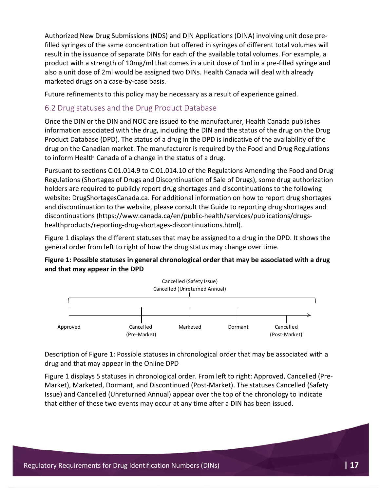Authorized New Drug Submissions (NDS) and DIN Applications (DINA) involving unit dose prefilled syringes of the same concentration but offered in syringes of different total volumes will result in the issuance of separate DINs for each of the available total volumes. For example, a product with a strength of 10mg/ml that comes in a unit dose of 1ml in a pre-filled syringe and also a unit dose of 2ml would be assigned two DINs. Health Canada will deal with already marketed drugs on a case-by-case basis.

Future refinements to this policy may be necessary as a result of experience gained.

#### 6.2 Drug statuses and the Drug Product Database

Once the DIN or the DIN and NOC are issued to the manufacturer, Health Canada publishes information associated with the drug, including the DIN and the status of the drug on the Drug Product Database (DPD). The status of a drug in the DPD is indicative of the availability of the drug on the Canadian market. The manufacturer is required by the Food and Drug Regulations to inform Health Canada of a change in the status of a drug.

Pursuant to sections C.01.014.9 to C.01.014.10 of the Regulations Amending the Food and Drug Regulations (Shortages of Drugs and Discontinuation of Sale of Drugs), some drug authorization holders are required to publicly report drug shortages and discontinuations to the following website: DrugShortagesCanada.ca. For additional information on how to report drug shortages and discontinuation to the website, please consult the Guide to reporting drug shortages and discontinuations (https://www.canada.ca/en/public-health/services/publications/drugshealthproducts/reporting-drug-shortages-discontinuations.html).

Figure 1 displays the different statuses that may be assigned to a drug in the DPD. It shows the general order from left to right of how the drug status may change over time.

#### **Figure 1: Possible statuses in general chronological order that may be associated with a drug and that may appear in the DPD**



Description of Figure 1: Possible statuses in chronological order that may be associated with a drug and that may appear in the Online DPD

Figure 1 displays 5 statuses in chronological order. From left to right: Approved, Cancelled (Pre-Market), Marketed, Dormant, and Discontinued (Post-Market). The statuses Cancelled (Safety Issue) and Cancelled (Unreturned Annual) appear over the top of the chronology to indicate that either of these two events may occur at any time after a DIN has been issued.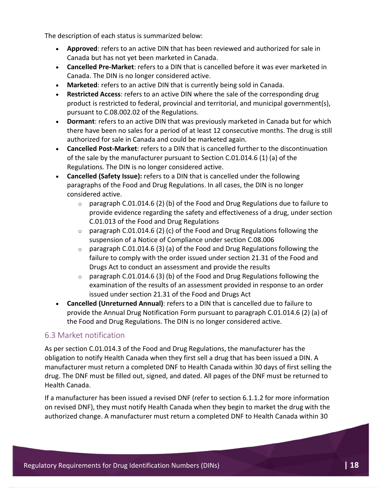The description of each status is summarized below:

- **Approved**: refers to an active DIN that has been reviewed and authorized for sale in Canada but has not yet been marketed in Canada.
- **Cancelled Pre-Market**: refers to a DIN that is cancelled before it was ever marketed in Canada. The DIN is no longer considered active.
- **Marketed**: refers to an active DIN that is currently being sold in Canada.
- **Restricted Access**: refers to an active DIN where the sale of the corresponding drug product is restricted to federal, provincial and territorial, and municipal government(s), pursuant to C.08.002.02 of the Regulations.
- **Dormant**: refers to an active DIN that was previously marketed in Canada but for which there have been no sales for a period of at least 12 consecutive months. The drug is still authorized for sale in Canada and could be marketed again.
- **Cancelled Post-Market**: refers to a DIN that is cancelled further to the discontinuation of the sale by the manufacturer pursuant to Section C.01.014.6 (1) (a) of the Regulations. The DIN is no longer considered active.
- **Cancelled (Safety Issue):** refers to a DIN that is cancelled under the following paragraphs of the Food and Drug Regulations. In all cases, the DIN is no longer considered active.
	- $\circ$  paragraph C.01.014.6 (2) (b) of the Food and Drug Regulations due to failure to provide evidence regarding the safety and effectiveness of a drug, under section C.01.013 of the Food and Drug Regulations
	- $\circ$  paragraph C.01.014.6 (2) (c) of the Food and Drug Regulations following the suspension of a Notice of Compliance under section C.08.006
	- $\circ$  paragraph C.01.014.6 (3) (a) of the Food and Drug Regulations following the failure to comply with the order issued under section 21.31 of the Food and Drugs Act to conduct an assessment and provide the results
	- $\circ$  paragraph C.01.014.6 (3) (b) of the Food and Drug Regulations following the examination of the results of an assessment provided in response to an order issued under section 21.31 of the Food and Drugs Act
- **Cancelled (Unreturned Annual)**: refers to a DIN that is cancelled due to failure to provide the Annual Drug Notification Form pursuant to paragraph C.01.014.6 (2) (a) of the Food and Drug Regulations. The DIN is no longer considered active.

#### 6.3 Market notification

As per section C.01.014.3 of the Food and Drug Regulations, the manufacturer has the obligation to notify Health Canada when they first sell a drug that has been issued a DIN. A manufacturer must return a completed DNF to Health Canada within 30 days of first selling the drug. The DNF must be filled out, signed, and dated. All pages of the DNF must be returned to Health Canada.

If a manufacturer has been issued a revised DNF (refer to section 6.1.1.2 for more information on revised DNF), they must notify Health Canada when they begin to market the drug with the authorized change. A manufacturer must return a completed DNF to Health Canada within 30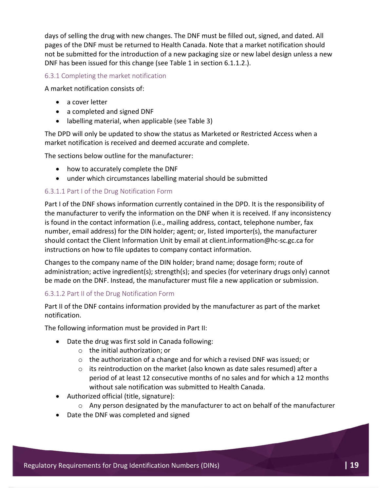days of selling the drug with new changes. The DNF must be filled out, signed, and dated. All pages of the DNF must be returned to Health Canada. Note that a market notification should not be submitted for the introduction of a new packaging size or new label design unless a new DNF has been issued for this change (see Table 1 in section 6.1.1.2.).

#### 6.3.1 Completing the market notification

A market notification consists of:

- a cover letter
- a completed and signed DNF
- labelling material, when applicable (see Table 3)

The DPD will only be updated to show the status as Marketed or Restricted Access when a market notification is received and deemed accurate and complete.

The sections below outline for the manufacturer:

- how to accurately complete the DNF
- under which circumstances labelling material should be submitted

#### 6.3.1.1 Part I of the Drug Notification Form

Part I of the DNF shows information currently contained in the DPD. It is the responsibility of the manufacturer to verify the information on the DNF when it is received. If any inconsistency is found in the contact information (i.e., mailing address, contact, telephone number, fax number, email address) for the DIN holder; agent; or, listed importer(s), the manufacturer should contact the Client Information Unit by email at client.information@hc-sc.gc.ca for instructions on how to file updates to company contact information.

Changes to the company name of the DIN holder; brand name; dosage form; route of administration; active ingredient(s); strength(s); and species (for veterinary drugs only) cannot be made on the DNF. Instead, the manufacturer must file a new application or submission.

#### 6.3.1.2 Part II of the Drug Notification Form

Part II of the DNF contains information provided by the manufacturer as part of the market notification.

The following information must be provided in Part II:

- Date the drug was first sold in Canada following:
	- o the initial authorization; or
	- o the authorization of a change and for which a revised DNF was issued; or
	- $\circ$  its reintroduction on the market (also known as date sales resumed) after a period of at least 12 consecutive months of no sales and for which a 12 months without sale notification was submitted to Health Canada.
- Authorized official (title, signature):
	- $\circ$  Any person designated by the manufacturer to act on behalf of the manufacturer
- Date the DNF was completed and signed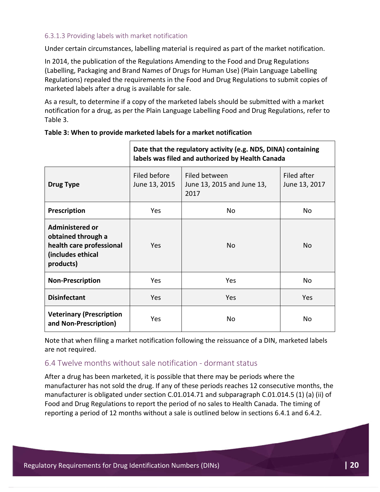#### 6.3.1.3 Providing labels with market notification

Under certain circumstances, labelling material is required as part of the market notification.

In 2014, the publication of the Regulations Amending to the Food and Drug Regulations (Labelling, Packaging and Brand Names of Drugs for Human Use) (Plain Language Labelling Regulations) repealed the requirements in the Food and Drug Regulations to submit copies of marketed labels after a drug is available for sale.

As a result, to determine if a copy of the marketed labels should be submitted with a market notification for a drug, as per the Plain Language Labelling Food and Drug Regulations, refer to Table 3.

|                                                                                                            | Date that the regulatory activity (e.g. NDS, DINA) containing<br>labels was filed and authorized by Health Canada |                                                     |                              |  |
|------------------------------------------------------------------------------------------------------------|-------------------------------------------------------------------------------------------------------------------|-----------------------------------------------------|------------------------------|--|
| <b>Drug Type</b>                                                                                           | Filed before<br>June 13, 2015                                                                                     | Filed between<br>June 13, 2015 and June 13,<br>2017 | Filed after<br>June 13, 2017 |  |
| Prescription                                                                                               | Yes                                                                                                               | No                                                  | No                           |  |
| <b>Administered or</b><br>obtained through a<br>health care professional<br>(includes ethical<br>products) | Yes                                                                                                               | No.                                                 | <b>No</b>                    |  |
| <b>Non-Prescription</b>                                                                                    | Yes                                                                                                               | Yes                                                 | <b>No</b>                    |  |
| <b>Disinfectant</b>                                                                                        | Yes                                                                                                               | <b>Yes</b>                                          | Yes                          |  |
| <b>Veterinary (Prescription</b><br>and Non-Prescription)                                                   | Yes                                                                                                               | No                                                  | No                           |  |

| Table 3: When to provide marketed labels for a market notification |  |
|--------------------------------------------------------------------|--|
|--------------------------------------------------------------------|--|

Note that when filing a market notification following the reissuance of a DIN, marketed labels are not required.

#### 6.4 Twelve months without sale notification - dormant status

After a drug has been marketed, it is possible that there may be periods where the manufacturer has not sold the drug. If any of these periods reaches 12 consecutive months, the manufacturer is obligated under section C.01.014.71 and subparagraph C.01.014.5 (1) (a) (ii) of Food and Drug Regulations to report the period of no sales to Health Canada. The timing of reporting a period of 12 months without a sale is outlined below in sections 6.4.1 and 6.4.2.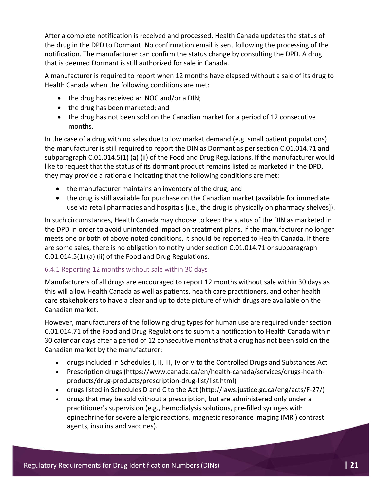After a complete notification is received and processed, Health Canada updates the status of the drug in the DPD to Dormant. No confirmation email is sent following the processing of the notification. The manufacturer can confirm the status change by consulting the DPD. A drug that is deemed Dormant is still authorized for sale in Canada.

A manufacturer is required to report when 12 months have elapsed without a sale of its drug to Health Canada when the following conditions are met:

- the drug has received an NOC and/or a DIN;
- the drug has been marketed; and
- the drug has not been sold on the Canadian market for a period of 12 consecutive months.

In the case of a drug with no sales due to low market demand (e.g. small patient populations) the manufacturer is still required to report the DIN as Dormant as per section C.01.014.71 and subparagraph C.01.014.5(1) (a) (ii) of the Food and Drug Regulations. If the manufacturer would like to request that the status of its dormant product remains listed as marketed in the DPD, they may provide a rationale indicating that the following conditions are met:

- the manufacturer maintains an inventory of the drug; and
- the drug is still available for purchase on the Canadian market (available for immediate use via retail pharmacies and hospitals [i.e., the drug is physically on pharmacy shelves]).

In such circumstances, Health Canada may choose to keep the status of the DIN as marketed in the DPD in order to avoid unintended impact on treatment plans. If the manufacturer no longer meets one or both of above noted conditions, it should be reported to Health Canada. If there are some sales, there is no obligation to notify under section C.01.014.71 or subparagraph C.01.014.5(1) (a) (ii) of the Food and Drug Regulations.

#### 6.4.1 Reporting 12 months without sale within 30 days

Manufacturers of all drugs are encouraged to report 12 months without sale within 30 days as this will allow Health Canada as well as patients, health care practitioners, and other health care stakeholders to have a clear and up to date picture of which drugs are available on the Canadian market.

However, manufacturers of the following drug types for human use are required under section C.01.014.71 of the Food and Drug Regulations to submit a notification to Health Canada within 30 calendar days after a period of 12 consecutive months that a drug has not been sold on the Canadian market by the manufacturer:

- drugs included in Schedules I, II, III, IV or V to the Controlled Drugs and Substances Act
- Prescription drugs (https://www.canada.ca/en/health-canada/services/drugs-healthproducts/drug-products/prescription-drug-list/list.html)
- drugs listed in Schedules D and C to the Act (http://laws.justice.gc.ca/eng/acts/F-27/)
- drugs that may be sold without a prescription, but are administered only under a practitioner's supervision (e.g., hemodialysis solutions, pre-filled syringes with epinephrine for severe allergic reactions, magnetic resonance imaging (MRI) contrast agents, insulins and vaccines).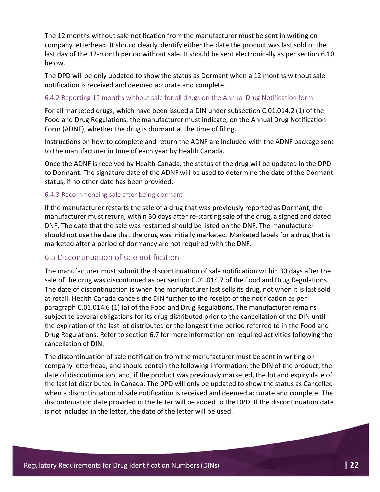The 12 months without sale notification from the manufacturer must be sent in writing on company letterhead. It should clearly identify either the date the product was last sold or the last day of the 12-month period without sale. It should be sent electronically as per section 6.10 below.

The DPD will be only updated to show the status as Dormant when a 12 months without sale notification is received and deemed accurate and complete.

#### 6.4.2 Reporting 12 months without sale for all drugs on the Annual Drug Notification form

For all marketed drugs, which have been issued a DIN under subsection C.01.014.2 (1) of the Food and Drug Regulations, the manufacturer must indicate, on the Annual Drug Notification Form (ADNF), whether the drug is dormant at the time of filing.

Instructions on how to complete and return the ADNF are included with the ADNF package sent to the manufacturer in June of each year by Health Canada.

Once the ADNF is received by Health Canada, the status of the drug will be updated in the DPD to Dormant. The signature date of the ADNF will be used to determine the date of the Dormant status, if no other date has been provided.

#### 6.4.3 Recommencing sale after being dormant

If the manufacturer restarts the sale of a drug that was previously reported as Dormant, the manufacturer must return, within 30 days after re-starting sale of the drug, a signed and dated DNF. The date that the sale was restarted should be listed on the DNF. The manufacturer should not use the date that the drug was initially marketed. Marketed labels for a drug that is marketed after a period of dormancy are not required with the DNF.

#### 6.5 Discontinuation of sale notification

The manufacturer must submit the discontinuation of sale notification within 30 days after the sale of the drug was discontinued as per section C.01.014.7 of the Food and Drug Regulations. The date of discontinuation is when the manufacturer last sells its drug, not when it is last sold at retail. Health Canada cancels the DIN further to the receipt of the notification as per paragraph C.01.014.6 (1) (a) of the Food and Drug Regulations. The manufacturer remains subject to several obligations for its drug distributed prior to the cancellation of the DIN until the expiration of the last lot distributed or the longest time period referred to in the Food and Drug Regulations. Refer to section 6.7 for more information on required activities following the cancellation of DIN.

The discontinuation of sale notification from the manufacturer must be sent in writing on company letterhead, and should contain the following information: the DIN of the product, the date of discontinuation, and, if the product was previously marketed, the lot and expiry date of the last lot distributed in Canada. The DPD will only be updated to show the status as Cancelled when a discontinuation of sale notification is received and deemed accurate and complete. The discontinuation date provided in the letter will be added to the DPD. If the discontinuation date is not included in the letter, the date of the letter will be used.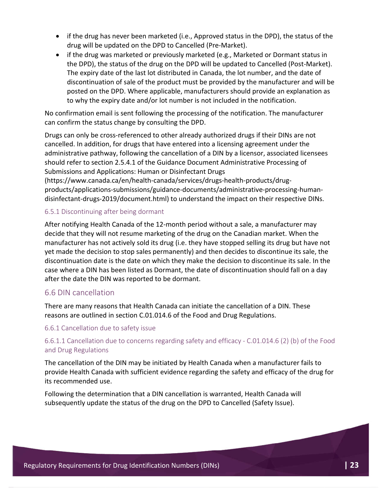- $\bullet$  if the drug has never been marketed (i.e., Approved status in the DPD), the status of the drug will be updated on the DPD to Cancelled (Pre-Market).
- if the drug was marketed or previously marketed (e.g., Marketed or Dormant status in the DPD), the status of the drug on the DPD will be updated to Cancelled (Post-Market). The expiry date of the last lot distributed in Canada, the lot number, and the date of discontinuation of sale of the product must be provided by the manufacturer and will be posted on the DPD. Where applicable, manufacturers should provide an explanation as to why the expiry date and/or lot number is not included in the notification.

No confirmation email is sent following the processing of the notification. The manufacturer can confirm the status change by consulting the DPD.

Drugs can only be cross-referenced to other already authorized drugs if their DINs are not cancelled. In addition, for drugs that have entered into a licensing agreement under the administrative pathway, following the cancellation of a DIN by a licensor, associated licensees should refer to section 2.5.4.1 of the Guidance Document Administrative Processing of Submissions and Applications: Human or Disinfectant Drugs

(https://www.canada.ca/en/health-canada/services/drugs-health-products/drugproducts/applications-submissions/guidance-documents/administrative-processing-humandisinfectant-drugs-2019/document.html) to understand the impact on their respective DINs.

#### 6.5.1 Discontinuing after being dormant

After notifying Health Canada of the 12-month period without a sale, a manufacturer may decide that they will not resume marketing of the drug on the Canadian market. When the manufacturer has not actively sold its drug (i.e. they have stopped selling its drug but have not yet made the decision to stop sales permanently) and then decides to discontinue its sale, the discontinuation date is the date on which they make the decision to discontinue its sale. In the case where a DIN has been listed as Dormant, the date of discontinuation should fall on a day after the date the DIN was reported to be dormant.

#### 6.6 DIN cancellation

There are many reasons that Health Canada can initiate the cancellation of a DIN. These reasons are outlined in section C.01.014.6 of the Food and Drug Regulations.

#### 6.6.1 Cancellation due to safety issue

#### 6.6.1.1 Cancellation due to concerns regarding safety and efficacy - C.01.014.6 (2) (b) of the Food and Drug Regulations

The cancellation of the DIN may be initiated by Health Canada when a manufacturer fails to provide Health Canada with sufficient evidence regarding the safety and efficacy of the drug for its recommended use.

Following the determination that a DIN cancellation is warranted, Health Canada will subsequently update the status of the drug on the DPD to Cancelled (Safety Issue).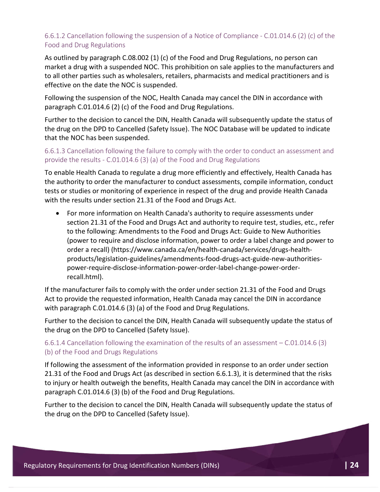#### 6.6.1.2 Cancellation following the suspension of a Notice of Compliance - C.01.014.6 (2) (c) of the Food and Drug Regulations

As outlined by paragraph C.08.002 (1) (c) of the Food and Drug Regulations, no person can market a drug with a suspended NOC. This prohibition on sale applies to the manufacturers and to all other parties such as wholesalers, retailers, pharmacists and medical practitioners and is effective on the date the NOC is suspended.

Following the suspension of the NOC, Health Canada may cancel the DIN in accordance with paragraph C.01.014.6 (2) (c) of the Food and Drug Regulations.

Further to the decision to cancel the DIN, Health Canada will subsequently update the status of the drug on the DPD to Cancelled (Safety Issue). The NOC Database will be updated to indicate that the NOC has been suspended.

#### 6.6.1.3 Cancellation following the failure to comply with the order to conduct an assessment and provide the results - C.01.014.6 (3) (a) of the Food and Drug Regulations

To enable Health Canada to regulate a drug more efficiently and effectively, Health Canada has the authority to order the manufacturer to conduct assessments, compile information, conduct tests or studies or monitoring of experience in respect of the drug and provide Health Canada with the results under section 21.31 of the Food and Drugs Act.

 For more information on Health Canada's authority to require assessments under section 21.31 of the Food and Drugs Act and authority to require test, studies, etc., refer to the following: Amendments to the Food and Drugs Act: Guide to New Authorities (power to require and disclose information, power to order a label change and power to order a recall) (https://www.canada.ca/en/health-canada/services/drugs-healthproducts/legislation-guidelines/amendments-food-drugs-act-guide-new-authoritiespower-require-disclose-information-power-order-label-change-power-orderrecall.html).

If the manufacturer fails to comply with the order under section 21.31 of the Food and Drugs Act to provide the requested information, Health Canada may cancel the DIN in accordance with paragraph C.01.014.6 (3) (a) of the Food and Drug Regulations.

Further to the decision to cancel the DIN, Health Canada will subsequently update the status of the drug on the DPD to Cancelled (Safety Issue).

#### 6.6.1.4 Cancellation following the examination of the results of an assessment – C.01.014.6 (3) (b) of the Food and Drugs Regulations

If following the assessment of the information provided in response to an order under section 21.31 of the Food and Drugs Act (as described in section 6.6.1.3), it is determined that the risks to injury or health outweigh the benefits, Health Canada may cancel the DIN in accordance with paragraph C.01.014.6 (3) (b) of the Food and Drug Regulations.

Further to the decision to cancel the DIN, Health Canada will subsequently update the status of the drug on the DPD to Cancelled (Safety Issue).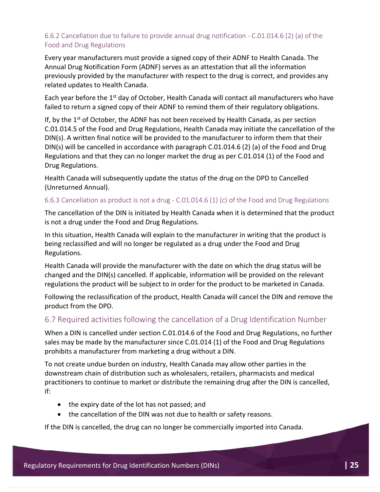#### 6.6.2 Cancellation due to failure to provide annual drug notification - C.01.014.6 (2) (a) of the Food and Drug Regulations

Every year manufacturers must provide a signed copy of their ADNF to Health Canada. The Annual Drug Notification Form (ADNF) serves as an attestation that all the information previously provided by the manufacturer with respect to the drug is correct, and provides any related updates to Health Canada.

Each year before the  $1<sup>st</sup>$  day of October, Health Canada will contact all manufacturers who have failed to return a signed copy of their ADNF to remind them of their regulatory obligations.

If, by the  $1<sup>st</sup>$  of October, the ADNF has not been received by Health Canada, as per section C.01.014.5 of the Food and Drug Regulations, Health Canada may initiate the cancellation of the DIN(s). A written final notice will be provided to the manufacturer to inform them that their DIN(s) will be cancelled in accordance with paragraph C.01.014.6 (2) (a) of the Food and Drug Regulations and that they can no longer market the drug as per C.01.014 (1) of the Food and Drug Regulations.

Health Canada will subsequently update the status of the drug on the DPD to Cancelled (Unreturned Annual).

#### 6.6.3 Cancellation as product is not a drug - C.01.014.6 (1) (c) of the Food and Drug Regulations

The cancellation of the DIN is initiated by Health Canada when it is determined that the product is not a drug under the Food and Drug Regulations.

In this situation, Health Canada will explain to the manufacturer in writing that the product is being reclassified and will no longer be regulated as a drug under the Food and Drug Regulations.

Health Canada will provide the manufacturer with the date on which the drug status will be changed and the DIN(s) cancelled. If applicable, information will be provided on the relevant regulations the product will be subject to in order for the product to be marketed in Canada.

Following the reclassification of the product, Health Canada will cancel the DIN and remove the product from the DPD.

#### 6.7 Required activities following the cancellation of a Drug Identification Number

When a DIN is cancelled under section C.01.014.6 of the Food and Drug Regulations, no further sales may be made by the manufacturer since C.01.014 (1) of the Food and Drug Regulations prohibits a manufacturer from marketing a drug without a DIN.

To not create undue burden on industry, Health Canada may allow other parties in the downstream chain of distribution such as wholesalers, retailers, pharmacists and medical practitioners to continue to market or distribute the remaining drug after the DIN is cancelled, if:

- the expiry date of the lot has not passed; and
- the cancellation of the DIN was not due to health or safety reasons.

If the DIN is cancelled, the drug can no longer be commercially imported into Canada.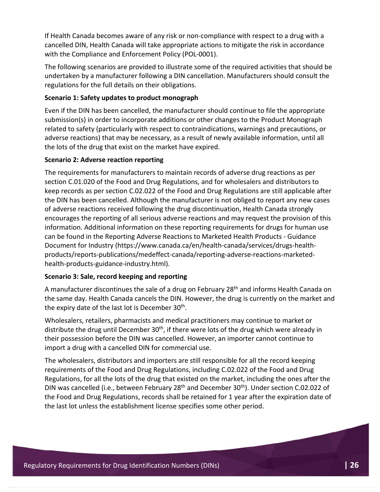If Health Canada becomes aware of any risk or non-compliance with respect to a drug with a cancelled DIN, Health Canada will take appropriate actions to mitigate the risk in accordance with the Compliance and Enforcement Policy (POL-0001).

The following scenarios are provided to illustrate some of the required activities that should be undertaken by a manufacturer following a DIN cancellation. Manufacturers should consult the regulations for the full details on their obligations.

#### **Scenario 1: Safety updates to product monograph**

Even if the DIN has been cancelled, the manufacturer should continue to file the appropriate submission(s) in order to incorporate additions or other changes to the Product Monograph related to safety (particularly with respect to contraindications, warnings and precautions, or adverse reactions) that may be necessary, as a result of newly available information, until all the lots of the drug that exist on the market have expired.

#### **Scenario 2: Adverse reaction reporting**

The requirements for manufacturers to maintain records of adverse drug reactions as per section C.01.020 of the Food and Drug Regulations, and for wholesalers and distributors to keep records as per section C.02.022 of the Food and Drug Regulations are still applicable after the DIN has been cancelled. Although the manufacturer is not obliged to report any new cases of adverse reactions received following the drug discontinuation, Health Canada strongly encourages the reporting of all serious adverse reactions and may request the provision of this information. Additional information on these reporting requirements for drugs for human use can be found in the Reporting Adverse Reactions to Marketed Health Products - Guidance Document for Industry (https://www.canada.ca/en/health-canada/services/drugs-healthproducts/reports-publications/medeffect-canada/reporting-adverse-reactions-marketedhealth-products-guidance-industry.html).

#### **Scenario 3: Sale, record keeping and reporting**

A manufacturer discontinues the sale of a drug on February 28<sup>th</sup> and informs Health Canada on the same day. Health Canada cancels the DIN. However, the drug is currently on the market and the expiry date of the last lot is December 30<sup>th</sup>.

Wholesalers, retailers, pharmacists and medical practitioners may continue to market or distribute the drug until December 30<sup>th</sup>, if there were lots of the drug which were already in their possession before the DIN was cancelled. However, an importer cannot continue to import a drug with a cancelled DIN for commercial use.

The wholesalers, distributors and importers are still responsible for all the record keeping requirements of the Food and Drug Regulations, including C.02.022 of the Food and Drug Regulations, for all the lots of the drug that existed on the market, including the ones after the DIN was cancelled (i.e., between February 28<sup>th</sup> and December 30<sup>th</sup>). Under section C.02.022 of the Food and Drug Regulations, records shall be retained for 1 year after the expiration date of the last lot unless the establishment license specifies some other period.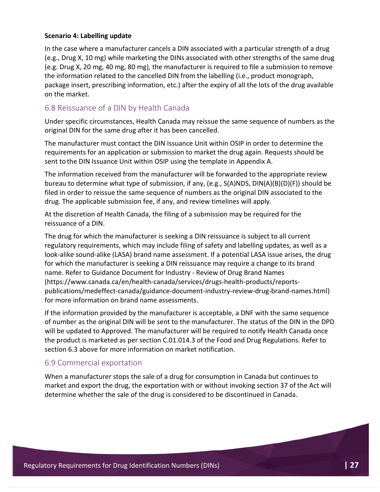#### **Scenario 4: Labelling update**

In the case where a manufacturer cancels a DIN associated with a particular strength of a drug (e.g., Drug X, 10 mg) while marketing the DINs associated with other strengths of the same drug (e.g. Drug X, 20 mg, 40 mg, 80 mg), the manufacturer is required to file a submission to remove the information related to the cancelled DIN from the labelling (i.e., product monograph, package insert, prescribing information, etc.) after the expiry of all the lots of the drug available on the market.

#### 6.8 Reissuance of a DIN by Health Canada

Under specific circumstances, Health Canada may reissue the same sequence of numbers as the original DIN for the same drug after it has been cancelled.

The manufacturer must contact the DIN Issuance Unit within OSIP in order to determine the requirements for an application or submission to market the drug again. Requests should be sent to the DIN Issuance Unit within OSIP using the template in Appendix A.

The information received from the manufacturer will be forwarded to the appropriate review bureau to determine what type of submission, if any, (e.g., S(A)NDS, DIN(A)(B)(D)(F)) should be filed in order to reissue the same sequence of numbers as the original DIN associated to the drug. The applicable submission fee, if any, and review timelines will apply.

At the discretion of Health Canada, the filing of a submission may be required for the reissuance of a DIN.

The drug for which the manufacturer is seeking a DIN reissuance is subject to all current regulatory requirements, which may include filing of safety and labelling updates, as well as a look-alike sound-alike (LASA) brand name assessment. If a potential LASA issue arises, the drug for which the manufacturer is seeking a DIN reissuance may require a change to its brand name. Refer to Guidance Document for Industry - Review of Drug Brand Names (https://www.canada.ca/en/health-canada/services/drugs-health-products/reportspublications/medeffect-canada/guidance-document-industry-review-drug-brand-names.html) for more information on brand name assessments.

If the information provided by the manufacturer is acceptable, a DNF with the same sequence of number as the original DIN will be sent to the manufacturer. The status of the DIN in the DPD will be updated to Approved. The manufacturer will be required to notify Health Canada once the product is marketed as per section C.01.014.3 of the Food and Drug Regulations. Refer to section 6.3 above for more information on market notification.

#### 6.9 Commercial exportation

When a manufacturer stops the sale of a drug for consumption in Canada but continues to market and export the drug, the exportation with or without invoking section 37 of the Act will determine whether the sale of the drug is considered to be discontinued in Canada.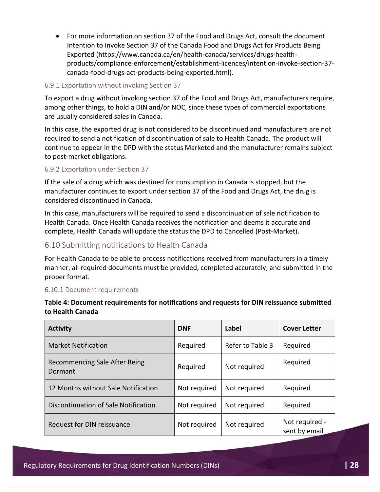For more information on section 37 of the Food and Drugs Act, consult the document Intention to Invoke Section 37 of the Canada Food and Drugs Act for Products Being Exported (https://www.canada.ca/en/health-canada/services/drugs-healthproducts/compliance-enforcement/establishment-licences/intention-invoke-section-37 canada-food-drugs-act-products-being-exported.html).

#### 6.9.1 Exportation without invoking Section 37

To export a drug without invoking section 37 of the Food and Drugs Act, manufacturers require, among other things, to hold a DIN and/or NOC, since these types of commercial exportations are usually considered sales in Canada.

In this case, the exported drug is not considered to be discontinued and manufacturers are not required to send a notification of discontinuation of sale to Health Canada. The product will continue to appear in the DPD with the status Marketed and the manufacturer remains subject to post-market obligations.

#### 6.9.2 Exportation under Section 37

If the sale of a drug which was destined for consumption in Canada is stopped, but the manufacturer continues to export under section 37 of the Food and Drugs Act, the drug is considered discontinued in Canada.

In this case, manufacturers will be required to send a discontinuation of sale notification to Health Canada. Once Health Canada receives the notification and deems it accurate and complete, Health Canada will update the status the DPD to Cancelled (Post-Market).

#### 6.10 Submitting notifications to Health Canada

For Health Canada to be able to process notifications received from manufacturers in a timely manner, all required documents must be provided, completed accurately, and submitted in the proper format.

#### 6.10.1 Document requirements

| <b>Activity</b>                          | <b>DNF</b>   | Label            | <b>Cover Letter</b>             |
|------------------------------------------|--------------|------------------|---------------------------------|
| <b>Market Notification</b>               | Required     | Refer to Table 3 | Required                        |
| Recommencing Sale After Being<br>Dormant | Required     | Not required     | Required                        |
| 12 Months without Sale Notification      | Not required | Not required     | Required                        |
| Discontinuation of Sale Notification     | Not required | Not required     | Required                        |
| Request for DIN reissuance               | Not required | Not required     | Not required -<br>sent by email |

#### **Table 4: Document requirements for notifications and requests for DIN reissuance submitted to Health Canada**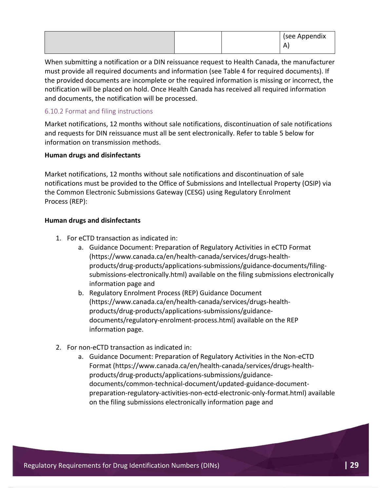|  |  |  | (see Appendix<br>n<br>-<br>$\mathbf{\Gamma}$ |
|--|--|--|----------------------------------------------|
|--|--|--|----------------------------------------------|

When submitting a notification or a DIN reissuance request to Health Canada, the manufacturer must provide all required documents and information (see Table 4 for required documents). If the provided documents are incomplete or the required information is missing or incorrect, the notification will be placed on hold. Once Health Canada has received all required information and documents, the notification will be processed.

#### 6.10.2 Format and filing instructions

Market notifications, 12 months without sale notifications, discontinuation of sale notifications and requests for DIN reissuance must all be sent electronically. Refer to table 5 below for information on transmission methods.

#### **Human drugs and disinfectants**

Market notifications, 12 months without sale notifications and discontinuation of sale notifications must be provided to the Office of Submissions and Intellectual Property (OSIP) via the Common Electronic Submissions Gateway (CESG) using Regulatory Enrolment Process (REP):

#### **Human drugs and disinfectants**

- 1. For eCTD transaction as indicated in:
	- a. Guidance Document: Preparation of Regulatory Activities in eCTD Format (https://www.canada.ca/en/health-canada/services/drugs-healthproducts/drug-products/applications-submissions/guidance-documents/filingsubmissions-electronically.html) available on the filing submissions electronically information page and
	- b. Regulatory Enrolment Process (REP) Guidance Document (https://www.canada.ca/en/health-canada/services/drugs-healthproducts/drug-products/applications-submissions/guidancedocuments/regulatory-enrolment-process.html) available on the REP information page.
- 2. For non-eCTD transaction as indicated in:
	- a. Guidance Document: Preparation of Regulatory Activities in the Non-eCTD Format (https://www.canada.ca/en/health-canada/services/drugs-healthproducts/drug-products/applications-submissions/guidancedocuments/common-technical-document/updated-guidance-documentpreparation-regulatory-activities-non-ectd-electronic-only-format.html) available on the filing submissions electronically information page and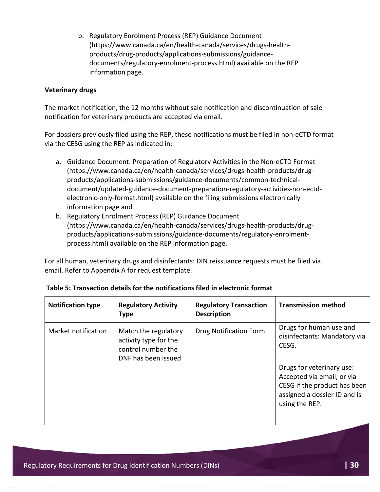b. Regulatory Enrolment Process (REP) Guidance Document (https://www.canada.ca/en/health-canada/services/drugs-healthproducts/drug-products/applications-submissions/guidancedocuments/regulatory-enrolment-process.html) available on the REP information page.

#### **Veterinary drugs**

The market notification, the 12 months without sale notification and discontinuation of sale notification for veterinary products are accepted via email.

For dossiers previously filed using the REP, these notifications must be filed in non-eCTD format via the CESG using the REP as indicated in:

- a. Guidance Document: Preparation of Regulatory Activities in the Non-eCTD Format (https://www.canada.ca/en/health-canada/services/drugs-health-products/drugproducts/applications-submissions/guidance-documents/common-technicaldocument/updated-guidance-document-preparation-regulatory-activities-non-ectdelectronic-only-format.html) available on the filing submissions electronically information page and
- b. Regulatory Enrolment Process (REP) Guidance Document (https://www.canada.ca/en/health-canada/services/drugs-health-products/drugproducts/applications-submissions/guidance-documents/regulatory-enrolmentprocess.html) available on the REP information page.

For all human, veterinary drugs and disinfectants: DIN reissuance requests must be filed via email. Refer to Appendix A for request template.

| <b>Notification type</b> | <b>Regulatory Activity</b><br><b>Type</b>                                                  | <b>Regulatory Transaction</b><br><b>Description</b> | <b>Transmission method</b>                                                                                                                                                                                    |
|--------------------------|--------------------------------------------------------------------------------------------|-----------------------------------------------------|---------------------------------------------------------------------------------------------------------------------------------------------------------------------------------------------------------------|
| Market notification      | Match the regulatory<br>activity type for the<br>control number the<br>DNF has been issued | <b>Drug Notification Form</b>                       | Drugs for human use and<br>disinfectants: Mandatory via<br>CESG.<br>Drugs for veterinary use:<br>Accepted via email, or via<br>CESG if the product has been<br>assigned a dossier ID and is<br>using the REP. |

#### **Table 5: Transaction details for the notifications filed in electronic format**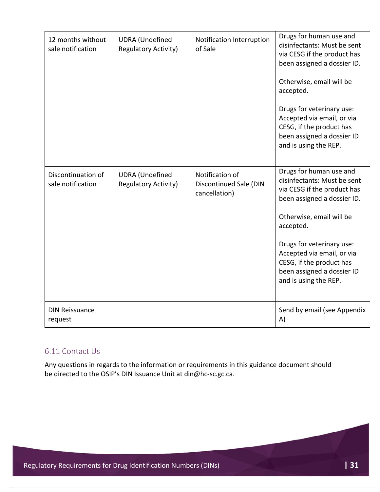| 12 months without<br>sale notification  | <b>UDRA</b> (Undefined<br><b>Regulatory Activity)</b> | Notification Interruption<br>of Sale                              | Drugs for human use and<br>disinfectants: Must be sent<br>via CESG if the product has<br>been assigned a dossier ID.<br>Otherwise, email will be<br>accepted.<br>Drugs for veterinary use:<br>Accepted via email, or via<br>CESG, if the product has<br>been assigned a dossier ID<br>and is using the REP. |
|-----------------------------------------|-------------------------------------------------------|-------------------------------------------------------------------|-------------------------------------------------------------------------------------------------------------------------------------------------------------------------------------------------------------------------------------------------------------------------------------------------------------|
| Discontinuation of<br>sale notification | <b>UDRA</b> (Undefined<br><b>Regulatory Activity)</b> | Notification of<br><b>Discontinued Sale (DIN</b><br>cancellation) | Drugs for human use and<br>disinfectants: Must be sent<br>via CESG if the product has<br>been assigned a dossier ID.<br>Otherwise, email will be<br>accepted.<br>Drugs for veterinary use:<br>Accepted via email, or via<br>CESG, if the product has<br>been assigned a dossier ID<br>and is using the REP. |
| <b>DIN Reissuance</b><br>request        |                                                       |                                                                   | Send by email (see Appendix<br>A)                                                                                                                                                                                                                                                                           |

#### 6.11 Contact Us

Any questions in regards to the information or requirements in this guidance document should be directed to the OSIP's DIN Issuance Unit at din@hc-sc.gc.ca.